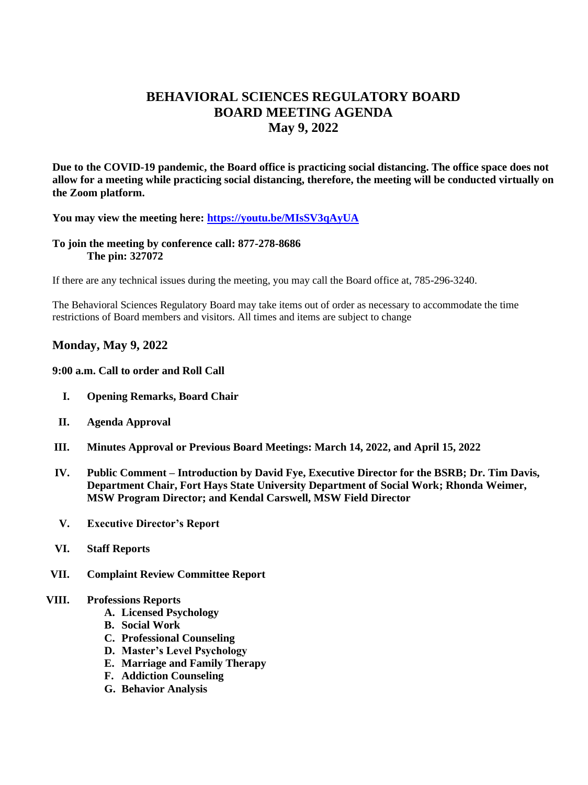# **BEHAVIORAL SCIENCES REGULATORY BOARD BOARD MEETING AGENDA May 9, 2022**

**Due to the COVID-19 pandemic, the Board office is practicing social distancing. The office space does not allow for a meeting while practicing social distancing, therefore, the meeting will be conducted virtually on the Zoom platform.** 

**You may view the meeting here:<https://youtu.be/MIsSV3qAyUA>**

## **To join the meeting by conference call: 877-278-8686 The pin: 327072**

If there are any technical issues during the meeting, you may call the Board office at, 785-296-3240.

The Behavioral Sciences Regulatory Board may take items out of order as necessary to accommodate the time restrictions of Board members and visitors. All times and items are subject to change

# **Monday, May 9, 2022**

#### **9:00 a.m. Call to order and Roll Call**

- **I. Opening Remarks, Board Chair**
- **II. Agenda Approval**
- **III. Minutes Approval or Previous Board Meetings: March 14, 2022, and April 15, 2022**
- **IV. Public Comment – Introduction by David Fye, Executive Director for the BSRB; Dr. Tim Davis, Department Chair, Fort Hays State University Department of Social Work; Rhonda Weimer, MSW Program Director; and Kendal Carswell, MSW Field Director**
- **V. Executive Director's Report**
- **VI. Staff Reports**
- **VII. Complaint Review Committee Report**

#### **VIII. Professions Reports**

- **A. Licensed Psychology**
- **B. Social Work**
- **C. Professional Counseling**
- **D. Master's Level Psychology**
- **E. Marriage and Family Therapy**
- **F. Addiction Counseling**
- **G. Behavior Analysis**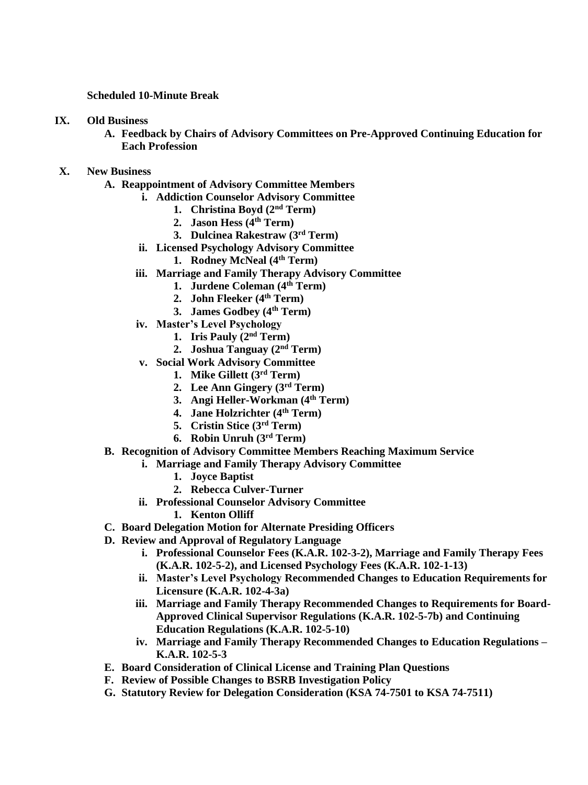#### **Scheduled 10-Minute Break**

#### **IX. Old Business**

**A. Feedback by Chairs of Advisory Committees on Pre-Approved Continuing Education for Each Profession**

## **X. New Business**

- **A. Reappointment of Advisory Committee Members**
	- **i. Addiction Counselor Advisory Committee**
		- **1. Christina Boyd (2nd Term)**
		- **2. Jason Hess (4th Term)**
		- **3. Dulcinea Rakestraw (3rd Term)**
	- **ii. Licensed Psychology Advisory Committee**
		- **1. Rodney McNeal (4th Term)**
	- **iii. Marriage and Family Therapy Advisory Committee**
		- **1. Jurdene Coleman (4th Term)**
		- **2. John Fleeker (4th Term)**
		- **3. James Godbey (4th Term)**
	- **iv. Master's Level Psychology**
		- **1. Iris Pauly (2nd Term)**
		- **2. Joshua Tanguay (2nd Term)**
	- **v. Social Work Advisory Committee**
		- **1. Mike Gillett (3rd Term)**
		- **2. Lee Ann Gingery (3rd Term)**
		- **3. Angi Heller-Workman (4th Term)**
		- **4. Jane Holzrichter (4th Term)**
		- **5. Cristin Stice (3rd Term)**
		- **6. Robin Unruh (3rd Term)**
- **B. Recognition of Advisory Committee Members Reaching Maximum Service**
	- **i. Marriage and Family Therapy Advisory Committee**
		- **1. Joyce Baptist**
		- **2. Rebecca Culver-Turner**
	- **ii. Professional Counselor Advisory Committee**
		- **1. Kenton Olliff**
- **C. Board Delegation Motion for Alternate Presiding Officers**
- **D. Review and Approval of Regulatory Language**
	- **i. Professional Counselor Fees (K.A.R. 102-3-2), Marriage and Family Therapy Fees (K.A.R. 102-5-2), and Licensed Psychology Fees (K.A.R. 102-1-13)**
	- **ii. Master's Level Psychology Recommended Changes to Education Requirements for Licensure (K.A.R. 102-4-3a)**
	- **iii. Marriage and Family Therapy Recommended Changes to Requirements for Board-Approved Clinical Supervisor Regulations (K.A.R. 102-5-7b) and Continuing Education Regulations (K.A.R. 102-5-10)**
	- **iv. Marriage and Family Therapy Recommended Changes to Education Regulations – K.A.R. 102-5-3**
- **E. Board Consideration of Clinical License and Training Plan Questions**
- **F. Review of Possible Changes to BSRB Investigation Policy**
- **G. Statutory Review for Delegation Consideration (KSA 74-7501 to KSA 74-7511)**